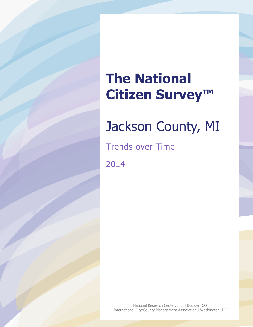## **The National Citizen Survey™**

# Jackson County, MI

Trends over Time

2014

National Research Center, Inc. | Boulder, CO International City/County Management Association | Washington, DC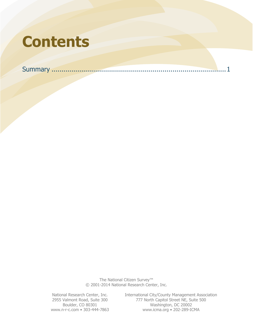## **Contents**

Summary [........................................................................................1](#page-2-0)

The National Citizen Survey™ © 2001-2014 National Research Center, Inc.

National Research Center, Inc. International City/County Management Association<br>2955 Valmont Road, Suite 300 777 North Capitol Street NE, Suite 500 Valmont Road, Suite 300 777 North Capitol Street NE, Suite 500 Boulder, CO 80301 Washington, DC 20002 Washington, DC 20002 www.n-r-c.com • 303-444-7863 www.icma.org • 202-289-ICMA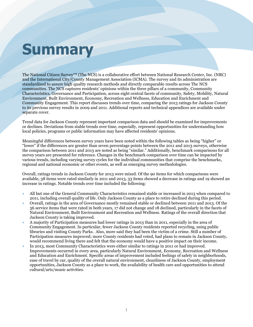# <span id="page-2-0"></span>**Summary**

The National Citizen Survey™ (The NCS) is a collaborative effort between National Research Center, Inc. (NRC) and the International City/County Management Association (ICMA). The survey and its administration are standardized to assure high quality research methods and directly comparable results across The NCS communities. The NCS captures residents' opinions within the three pillars of a community, Community Characteristics, Governance and Participation, across eight central facets of community, Safety, Mobility, Natural Environment, Built Environment, Economy, Recreation and Wellness, Education and Enrichment and Community Engagement. This report discusses trends over time, comparing the 2013 ratings for Jackson County to its previous survey results in 2009 and 2011. Additional reports and technical appendices are available under separate cover.

Trend data for Jackson County represent important comparison data and should be examined for improvements or declines. Deviations from stable trends over time, especially, represent opportunities for understanding how local policies, programs or public information may have affected residents' opinions.

Meaningful differences between survey years have been noted within the following tables as being "higher" or "lower" if the differences are greater than seven percentage points between the 2011 and 2013 surveys, otherwise the comparison between 2011 and 2013 are noted as being "similar." Additionally, benchmark comparisons for all survey years are presented for reference. Changes in the benchmark comparison over time can be impacted by various trends, including varying survey cycles for the individual communities that comprise the benchmarks, regional and national economic or other events, as well as emerging survey methodologies.

Overall, ratings trends in Jackson County for 2013 were mixed. Of the 90 items for which comparisons were available, 38 items were rated similarly in 2011 and 2013, 33 items showed a decrease in ratings and 19 showed an increase in ratings. Notable trends over time included the following:

- All but one of the General Community Characteristics remained stable or increased in 2013 when compared to 2011, including overall quality of life. Only Jackson County as a place to retire declined during this period.
- Overall, ratings in the area of Governance mostly remained stable or declined between 2011 and 2013. Of the 36 service items that were rated in both years, 17 did not change and 18 declined, particularly in the facets of Natural Environment, Built Environment and Recreation and Wellness. Ratings of the overall direction that Jackson County is taking improved.
- A majority of Participation measures had lower ratings in 2013 than in 2011, especially in the area of Community Engagement. In particular, fewer Jackson County residents reported recycling, using public libraries and visiting County Parks. Also, more said they had been the victim of a crime. Still a number of Participation measures improved; more County residents had voted, had plans to remain in Jackson County, would recommend living there and felt that the economy would have a positive impact on their income.
- In 2013, most Community Characteristics were either similar to ratings in 2011 or had improved. Improvements occurred in every area, particularly Natural Environment, Economy, Recreation and Wellness and Education and Enrichment. Specific areas of improvement included feelings of safety in neighborhoods, ease of travel by car, quality of the overall natural environment, cleanliness of Jackson County, employment opportunities, Jackson County as a place to work, the availability of health care and opportunities to attend cultural/arts/music activities.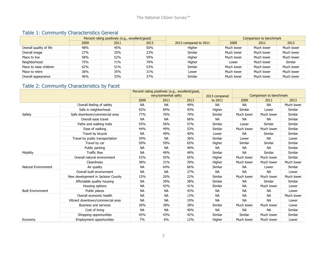#### Table 1: Community Characteristics General

|                         | Percent rating positively (e.g., excellent/good) |      |      | Comparison to benchmark |            |            |            |
|-------------------------|--------------------------------------------------|------|------|-------------------------|------------|------------|------------|
|                         | 2009                                             | 2011 | 2013 | 2013 compared to 2011   | 2009       | 2011       | 2013       |
| Overall quality of life | 48%                                              | 45%  | 50%  | Higher                  | Much lower | Much lower | Much lower |
| Overall image           | 27%                                              | 25%  | 23%  | Similar                 | Much lower | Much lower | Much lower |
| Place to live           | 58%                                              | 52%  | 59%  | Higher                  | Much lower | Much lower | Much lower |
| Neighborhood            | 75%                                              | 71%  | 79%  | Higher                  | Lower      | Much lower | Similar    |
| Place to raise children | 62%                                              | 51%  | 53%  | Similar                 | Much lower | Much lower | Much lower |
| Place to retire         | 36%                                              | 35%  | 31%  | Lower                   | Much lower | Much lower | Much lower |
| Overall appearance      | 40%                                              | 33%  | 37%  | <b>Similar</b>          | Much lower | Much lower | Much lower |

### Table 2: Community Characteristics by Facet

|                          |                                   | Percent rating positively (e.g., excellent/good,<br>very/somewhat safe) |           | 2013 compared | Comparison to benchmark |            |            |            |
|--------------------------|-----------------------------------|-------------------------------------------------------------------------|-----------|---------------|-------------------------|------------|------------|------------|
|                          |                                   | 2009                                                                    | 2011      | 2013          | to 2011                 | 2009       | 2011       | 2013       |
|                          | Overall feeling of safety         | <b>NA</b>                                                               | <b>NA</b> | 49%           | <b>NA</b>               | <b>NA</b>  | <b>NA</b>  | Much lower |
|                          | Safe in neighborhood              | 92%                                                                     | 84%       | 93%           | Higher                  | Similar    | Lower      | Similar    |
| Safety                   | Safe downtown/commercial area     | 77%                                                                     | 76%       | 79%           | Similar                 | Much lower | Much lower | Similar    |
|                          | Overall ease travel               | <b>NA</b>                                                               | <b>NA</b> | 68%           | <b>NA</b>               | <b>NA</b>  | <b>NA</b>  | Similar    |
|                          | Paths and walking trails          | 55%                                                                     | 56%       | 57%           | Similar                 | Lower      | Similar    | Similar    |
|                          | Ease of walking                   | 44%                                                                     | 49%       | 53%           | Similar                 | Much lower | Much lower | Similar    |
|                          | Travel by bicycle                 | <b>NA</b>                                                               | 49%       | 40%           | Lower                   | <b>NA</b>  | Similar    | Similar    |
|                          | Travel by public transportation   | 39%                                                                     | <b>NA</b> | 36%           | Similar                 | Lower      | <b>NA</b>  | Lower      |
|                          | Travel by car                     | 59%                                                                     | 59%       | 65%           | Higher                  | Similar    | Similar    | Similar    |
|                          | Public parking                    | <b>NA</b>                                                               | <b>NA</b> | 49%           | <b>NA</b>               | <b>NA</b>  | <b>NA</b>  | Similar    |
| Mobility                 | <b>Traffic flow</b>               | <b>NA</b>                                                               | 49%       | 49%           | Similar                 | <b>NA</b>  | Similar    | Similar    |
|                          | Overall natural environment       | 52%                                                                     | 55%       | 65%           | Higher                  | Much lower | Much lower | Similar    |
|                          | Cleanliness                       | 38%                                                                     | 31%       | 39%           | Higher                  | Much lower | Much lower | Much lower |
| Natural Environment      | Air quality                       | <b>NA</b>                                                               | 64%       | 66%           | Similar                 | <b>NA</b>  | Lower      | Similar    |
|                          | Overall built environment         | <b>NA</b>                                                               | <b>NA</b> | 37%           | <b>NA</b>               | <b>NA</b>  | <b>NA</b>  | Lower      |
|                          | New development in Jackson County | 15%                                                                     | 20%       | 22%           | Similar                 | Much lower | Much lower | Much lower |
|                          | Affordable quality housing        | <b>NA</b>                                                               | 39%       | 38%           | Similar                 | <b>NA</b>  | Similar    | Similar    |
|                          | Housing options                   | <b>NA</b>                                                               | 42%       | 41%           | Similar                 | <b>NA</b>  | Much lower | Lower      |
| <b>Built Environment</b> | Public places                     | <b>NA</b>                                                               | <b>NA</b> | 43%           | <b>NA</b>               | <b>NA</b>  | <b>NA</b>  | Lower      |
|                          | Overall economic health           | <b>NA</b>                                                               | <b>NA</b> | 13%           | <b>NA</b>               | <b>NA</b>  | <b>NA</b>  | Much lower |
|                          | Vibrant downtown/commercial area  | <b>NA</b>                                                               | <b>NA</b> | 19%           | <b>NA</b>               | <b>NA</b>  | <b>NA</b>  | Lower      |
|                          | Business and services             | 39%                                                                     | 38%       | 38%           | Similar                 | Much lower | Much lower | Lower      |
|                          | Cost of living                    | <b>NA</b>                                                               | <b>NA</b> | 40%           | <b>NA</b>               | <b>NA</b>  | <b>NA</b>  | Similar    |
|                          | Shopping opportunities            | 45%                                                                     | 43%       | 42%           | Similar                 | Similar    | Much lower | Similar    |
| Economy                  | <b>Employment opportunities</b>   | 7%                                                                      | 6%        | 12%           | Higher                  | Much lower | Much lower | Lower      |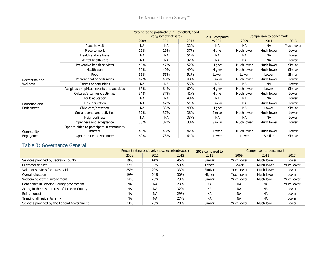|                |                                                      |           | Percent rating positively (e.g., excellent/good,<br>very/somewhat safe) |      | 2013 compared | Comparison to benchmark |            |            |
|----------------|------------------------------------------------------|-----------|-------------------------------------------------------------------------|------|---------------|-------------------------|------------|------------|
|                |                                                      | 2009      | 2011                                                                    | 2013 | to 2011       | 2009                    | 2011       | 2013       |
|                | Place to visit                                       | <b>NA</b> | <b>NA</b>                                                               | 32%  | <b>NA</b>     | <b>NA</b>               | <b>NA</b>  | Much lower |
|                | Place to work                                        | 26%       | 26%                                                                     | 37%  | Higher        | Much lower              | Much lower | Lower      |
|                | Health and wellness                                  | <b>NA</b> | <b>NA</b>                                                               | 51%  | <b>NA</b>     | <b>NA</b>               | <b>NA</b>  | Lower      |
|                | Mental health care                                   | <b>NA</b> | <b>NA</b>                                                               | 32%  | <b>NA</b>     | <b>NA</b>               | <b>NA</b>  | Lower      |
|                | Preventive health services                           | 45%       | 47%                                                                     | 52%  | Higher        | Much lower              | Much lower | Similar    |
|                | Health care                                          | 30%       | 40%                                                                     | 49%  | Higher        | Much lower              | Much lower | Similar    |
|                | Food                                                 | 55%       | 55%                                                                     | 51%  | Lower         | Lower                   | Lower      | Similar    |
| Recreation and | Recreational opportunities                           | 47%       | 48%                                                                     | 48%  | Similar       | Much lower              | Much lower | Lower      |
| Wellness       | Fitness opportunities                                | <b>NA</b> | <b>NA</b>                                                               | 55%  | <b>NA</b>     | <b>NA</b>               | <b>NA</b>  | Lower      |
|                | Religious or spiritual events and activities         | 67%       | 64%                                                                     | 69%  | Higher        | Much lower              | Lower      | Similar    |
|                | Cultural/arts/music activities                       | 34%       | 37%                                                                     | 41%  | Higher        | Much lower              | Much lower | Lower      |
|                | Adult education                                      | <b>NA</b> | <b>NA</b>                                                               | 48%  | <b>NA</b>     | <b>NA</b>               | <b>NA</b>  | Lower      |
| Education and  | K-12 education                                       | <b>NA</b> | 47%                                                                     | 51%  | Similar       | <b>NA</b>               | Much lower | Lower      |
| Enrichment     | Child care/preschool                                 | <b>NA</b> | 33%                                                                     | 40%  | Higher        | <b>NA</b>               | Lower      | Similar    |
|                | Social events and activities                         | 39%       | 37%                                                                     | 36%  | Similar       | Much lower              | Much lower | Lower      |
|                | Neighborliness                                       | <b>NA</b> | <b>NA</b>                                                               | 33%  | <b>NA</b>     | <b>NA</b>               | <b>NA</b>  | Lower      |
|                | Openness and acceptance                              | 38%       | 37%                                                                     | 38%  | Similar       | Much lower              | Much lower | Lower      |
| Community      | Opportunities to participate in community<br>matters | 48%       | 48%                                                                     | 42%  | Lower         | Much lower              | Much lower | Lower      |
| Engagement     | Opportunities to volunteer                           | 69%       | 73%                                                                     | 64%  | Lower         | Lower                   | Similar    | Similar    |

#### Table 3: Governance General

|                                               |           | Percent rating positively (e.g., excellent/good) |      | 2013 compared to | Comparison to benchmark |            |            |  |
|-----------------------------------------------|-----------|--------------------------------------------------|------|------------------|-------------------------|------------|------------|--|
|                                               | 2009      | 2011                                             | 2013 | 2011             | 2009                    | 2011       | 2013       |  |
| Services provided by Jackson County           | 39%       | 44%                                              | 45%  | Similar          | Much lower              | Much lower | Lower      |  |
| Customer service                              | 72%       | 60%                                              | 50%  | Lower            | Lower                   | Much lower | Much lower |  |
| Value of services for taxes paid              | 25%       | 29%                                              | 33%  | Similar          | Much lower              | Much lower | Lower      |  |
| Overall direction                             | 19%       | 24%                                              | 30%  | Higher           | Much lower              | Much lower | Lower      |  |
| Welcoming citizen involvement                 | 24%       | 26%                                              | 23%  | Similar          | Much lower              | Much lower | Much lower |  |
| Confidence in Jackson County government       | <b>NA</b> | <b>NA</b>                                        | 23%  | <b>NA</b>        | ΝA                      | <b>NA</b>  | Much lower |  |
| Acting in the best interest of Jackson County | <b>NA</b> | <b>NA</b>                                        | 32%  | <b>NA</b>        | <b>NA</b>               | <b>NA</b>  | Lower      |  |
| Being honest                                  | <b>NA</b> | <b>NA</b>                                        | 29%  | <b>NA</b>        | <b>NA</b>               | <b>NA</b>  | Lower      |  |
| Treating all residents fairly                 | <b>NA</b> | <b>NA</b>                                        | 27%  | <b>NA</b>        | <b>NA</b>               | <b>NA</b>  | Lower      |  |
| Services provided by the Federal Government   | 23%       | 20%                                              | 20%  | Similar          | Much lower              | Much lower | Lower      |  |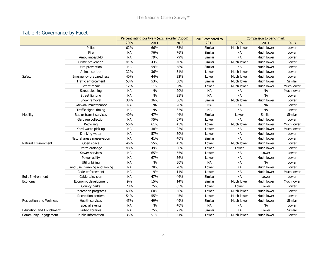#### Table 4: Governance by Facet

|                                 |                               | Percent rating positively (e.g., excellent/good) |           |      | Comparison to benchmark<br>2013 compared to |            |            |            |
|---------------------------------|-------------------------------|--------------------------------------------------|-----------|------|---------------------------------------------|------------|------------|------------|
|                                 |                               |                                                  | 2011      | 2013 | 2011                                        | 2009       | 2011       | 2013       |
|                                 | Police                        | 62%                                              | 66%       | 65%  | Similar                                     | Much lower | Much lower | Lower      |
|                                 | Fire                          | <b>NA</b>                                        | 76%       | 76%  | Similar                                     | <b>NA</b>  | Much lower | Lower      |
|                                 | Ambulance/EMS                 | <b>NA</b>                                        | 79%       | 79%  | Similar                                     | <b>NA</b>  | Much lower | Lower      |
|                                 | Crime prevention              | 41%                                              | 43%       | 40%  | Similar                                     | Much lower | Much lower | Lower      |
|                                 | Fire prevention               | <b>NA</b>                                        | 59%       | 58%  | Similar                                     | <b>NA</b>  | Much lower | Lower      |
|                                 | Animal control                | 32%                                              | 36%       | 31%  | Lower                                       | Much lower | Much lower | Lower      |
| Safety                          | Emergency preparedness        | 40%                                              | 44%       | 32%  | Lower                                       | Much lower | Much lower | Lower      |
|                                 | Traffic enforcement           | 53%                                              | 53%       | 50%  | Similar                                     | Much lower | Much lower | Similar    |
|                                 | Street repair                 | 12%                                              | 11%       | 7%   | Lower                                       | Much lower | Much lower | Much lower |
|                                 | Street cleaning               | <b>NA</b>                                        | <b>NA</b> | 20%  | <b>NA</b>                                   | <b>NA</b>  | <b>NA</b>  | Much lower |
|                                 | Street lighting               | <b>NA</b>                                        | <b>NA</b> | 35%  | <b>NA</b>                                   | <b>NA</b>  | <b>NA</b>  | Lower      |
|                                 | Snow removal                  | 38%                                              | 36%       | 36%  | Similar                                     | Much lower | Much lower | Lower      |
|                                 | Sidewalk maintenance          | <b>NA</b>                                        | <b>NA</b> | 26%  | <b>NA</b>                                   | <b>NA</b>  | <b>NA</b>  | Lower      |
|                                 | Traffic signal timing         | <b>NA</b>                                        | <b>NA</b> | 32%  | <b>NA</b>                                   | <b>NA</b>  | <b>NA</b>  | Lower      |
| Mobility                        | Bus or transit services       | 40%                                              | 47%       | 44%  | Similar                                     | Lower      | Similar    | Similar    |
|                                 | Garbage collection            | <b>NA</b>                                        | 75%       | 67%  | Lower                                       | <b>NA</b>  | Much lower | Lower      |
|                                 | Recycling                     | 56%                                              | 61%       | 45%  | Lower                                       | Much lower | Much lower | Much lower |
|                                 | Yard waste pick-up            | <b>NA</b>                                        | 38%       | 22%  | Lower                                       | <b>NA</b>  | Much lower | Much lower |
|                                 | Drinking water                | <b>NA</b>                                        | 57%       | 50%  | Lower                                       | <b>NA</b>  | Much lower | Lower      |
|                                 | Natural areas preservation    | <b>NA</b>                                        | 41%       | 40%  | Similar                                     | <b>NA</b>  | Much lower | Lower      |
| <b>Natural Environment</b>      | Open space                    | 46%                                              | 55%       | 45%  | Lower                                       | Much lower | Much lower | Lower      |
|                                 | Storm drainage                | 48%                                              | 49%       | 36%  | Lower                                       | Lower      | Much lower | Lower      |
|                                 | Sewer services                | <b>NA</b>                                        | 65%       | 55%  | Lower                                       | <b>NA</b>  | Lower      | Lower      |
|                                 | Power utility                 | <b>NA</b>                                        | 67%       | 56%  | Lower                                       | <b>NA</b>  | Much lower | Lower      |
|                                 | Utility billing               | <b>NA</b>                                        | <b>NA</b> | 50%  | <b>NA</b>                                   | <b>NA</b>  | <b>NA</b>  | Lower      |
|                                 | Land use, planning and zoning | <b>NA</b>                                        | 28%       | 20%  | Lower                                       | <b>NA</b>  | Much lower | Lower      |
|                                 | Code enforcement              | <b>NA</b>                                        | 19%       | 11%  | Lower                                       | <b>NA</b>  | Much lower | Much lower |
| <b>Built Environment</b>        | Cable television              | <b>NA</b>                                        | 47%       | 44%  | Similar                                     | <b>NA</b>  | Lower      | Lower      |
| Economy                         | Economic development          | 9%                                               | 15%       | 14%  | Similar                                     | Much lower | Much lower | Much lower |
|                                 | County parks                  | 78%                                              | 75%       | 65%  | Lower                                       | Lower      | Lower      | Lower      |
|                                 | Recreation programs           | 60%                                              | 60%       | 46%  | Lower                                       | Much lower | Much lower | Lower      |
|                                 | Recreation centers            | 54%                                              | 55%       | 45%  | Lower                                       | Much lower | Much lower | Lower      |
| Recreation and Wellness         | Health services               | 45%                                              | 49%       | 49%  | Similar                                     | Much lower | Much lower | Similar    |
|                                 | Special events                | <b>NA</b>                                        | <b>NA</b> | 40%  | <b>NA</b>                                   | <b>NA</b>  | <b>NA</b>  | Lower      |
| <b>Education and Enrichment</b> | <b>Public libraries</b>       | <b>NA</b>                                        | 75%       | 72%  | Similar                                     | <b>NA</b>  | Lower      | Similar    |
| Community Engagement            | Public information            | 35%                                              | 51%       | 44%  | Lower                                       | Much lower | Much lower | Lower      |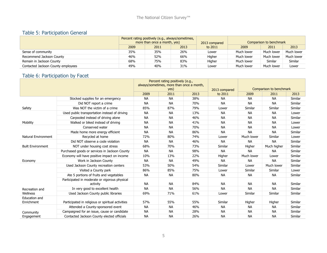### Table 5: Participation General

|                                    | Percent rating positively (e.g., always/sometimes,<br>more than once a month, yes) |      |      | 2013 compared | Comparison to benchmark |            |            |  |
|------------------------------------|------------------------------------------------------------------------------------|------|------|---------------|-------------------------|------------|------------|--|
|                                    | 2009                                                                               | 2011 | 2013 | to 2011       | 2009                    | 2011       | 2013       |  |
| Sense of community                 | 35%                                                                                | 35%  | 26%  | Lower         | Much lower              | Much lower | Much lower |  |
| Recommend Jackson County           | 46%                                                                                | 52%  | 66%  | Higher        | Much lower              | Much lower | Much lower |  |
| Remain in Jackson County           | 68%                                                                                | 75%  | 83%  | Higher        | Much lower              | Similar    | Similar    |  |
| Contacted Jackson County employees | 49%                                                                                | 40%  | 31%  | Lower         | Much lower              | Much lower | Lower      |  |

### Table 6: Participation by Facet

|                             |                                                           | Percent rating positively (e.g.,          |              |      |               |                         |             |         |  |
|-----------------------------|-----------------------------------------------------------|-------------------------------------------|--------------|------|---------------|-------------------------|-------------|---------|--|
|                             |                                                           | always/sometimes, more than once a month, |              |      |               |                         |             |         |  |
|                             |                                                           | 2009                                      | yes)<br>2011 | 2013 | 2013 compared | Comparison to benchmark |             |         |  |
|                             |                                                           |                                           |              |      | to 2011       | 2009                    | 2011        | 2013    |  |
|                             | Stocked supplies for an emergency                         | <b>NA</b>                                 | <b>NA</b>    | 38%  | <b>NA</b>     | <b>NA</b>               | <b>NA</b>   | Similar |  |
|                             | Did NOT report a crime                                    | <b>NA</b>                                 | <b>NA</b>    | 70%  | <b>NA</b>     | <b>NA</b>               | <b>NA</b>   | Similar |  |
| Safety                      | Was NOT the victim of a crime                             | 85%                                       | 87%          | 79%  | Lower         | Similar                 | Similar     | Similar |  |
|                             | Used public transportation instead of driving             | <b>NA</b>                                 | <b>NA</b>    | 13%  | <b>NA</b>     | <b>NA</b>               | <b>NA</b>   | Lower   |  |
|                             | Carpooled instead of driving alone                        | <b>NA</b>                                 | <b>NA</b>    | 46%  | <b>NA</b>     | <b>NA</b>               | <b>NA</b>   | Similar |  |
| Mobility                    | Walked or biked instead of driving                        | <b>NA</b>                                 | <b>NA</b>    | 41%  | <b>NA</b>     | <b>NA</b>               | <b>NA</b>   | Lower   |  |
|                             | Conserved water                                           | <b>NA</b>                                 | <b>NA</b>    | 70%  | <b>NA</b>     | <b>NA</b>               | <b>NA</b>   | Lower   |  |
|                             | Made home more energy efficient                           | <b>NA</b>                                 | <b>NA</b>    | 86%  | <b>NA</b>     | <b>NA</b>               | <b>NA</b>   | Similar |  |
| Natural Environment         | Recycled at home                                          | 72%                                       | 80%          | 74%  | Lower         | Much lower              | Similar     | Lower   |  |
|                             | Did NOT observe a code violation                          | <b>NA</b>                                 | <b>NA</b>    | 46%  | <b>NA</b>     | <b>NA</b>               | <b>NA</b>   | Similar |  |
| <b>Built Environment</b>    | NOT under housing cost stress                             | 68%                                       | 70%          | 73%  | Similar       | Higher                  | Much higher | Similar |  |
|                             | Purchased goods or services in Jackson County             | <b>NA</b>                                 | <b>NA</b>    | 98%  | <b>NA</b>     | <b>NA</b>               | <b>NA</b>   | Similar |  |
|                             | Economy will have positive impact on income               | 10%                                       | 13%          | 22%  | Higher        | Much lower              | Lower       | Similar |  |
| Economy                     | Work in Jackson County                                    | <b>NA</b>                                 | <b>NA</b>    | 49%  | <b>NA</b>     | <b>NA</b>               | <b>NA</b>   | Similar |  |
|                             | Used Jackson County recreation centers                    | 53%                                       | 50%          | 54%  | Similar       | Lower                   | Much lower  | Similar |  |
|                             | Visited a County park                                     | 86%                                       | 85%          | 75%  | Lower         | Similar                 | Similar     | Lower   |  |
|                             | Ate 5 portions of fruits and vegetables                   | <b>NA</b>                                 | <b>NA</b>    | 80%  | <b>NA</b>     | <b>NA</b>               | <b>NA</b>   | Similar |  |
|                             | Participated in moderate or vigorous physical<br>activity | <b>NA</b>                                 | <b>NA</b>    | 84%  | <b>NA</b>     | <b>NA</b>               | <b>NA</b>   | Similar |  |
| Recreation and              | In very good to excellent health                          | <b>NA</b>                                 | <b>NA</b>    | 56%  | <b>NA</b>     | <b>NA</b>               | <b>NA</b>   | Similar |  |
| Wellness                    | Used Jackson County public libraries                      | 69%                                       | 71%          | 61%  | Lower         | Similar                 | Similar     | Similar |  |
| Education and<br>Enrichment | Participated in religious or spiritual activities         | 57%                                       | 55%          | 55%  | Similar       | Higher                  | Higher      | Similar |  |
|                             | Attended a County-sponsored event                         | <b>NA</b>                                 | <b>NA</b>    | 46%  | <b>NA</b>     | <b>NA</b>               | <b>NA</b>   | Similar |  |
| Community                   | Campaigned for an issue, cause or candidate               | <b>NA</b>                                 | <b>NA</b>    | 28%  | <b>NA</b>     | <b>NA</b>               | <b>NA</b>   | Similar |  |
| Engagement                  | Contacted Jackson County elected officials                | <b>NA</b>                                 | <b>NA</b>    | 26%  | <b>NA</b>     | <b>NA</b>               | <b>NA</b>   | Similar |  |